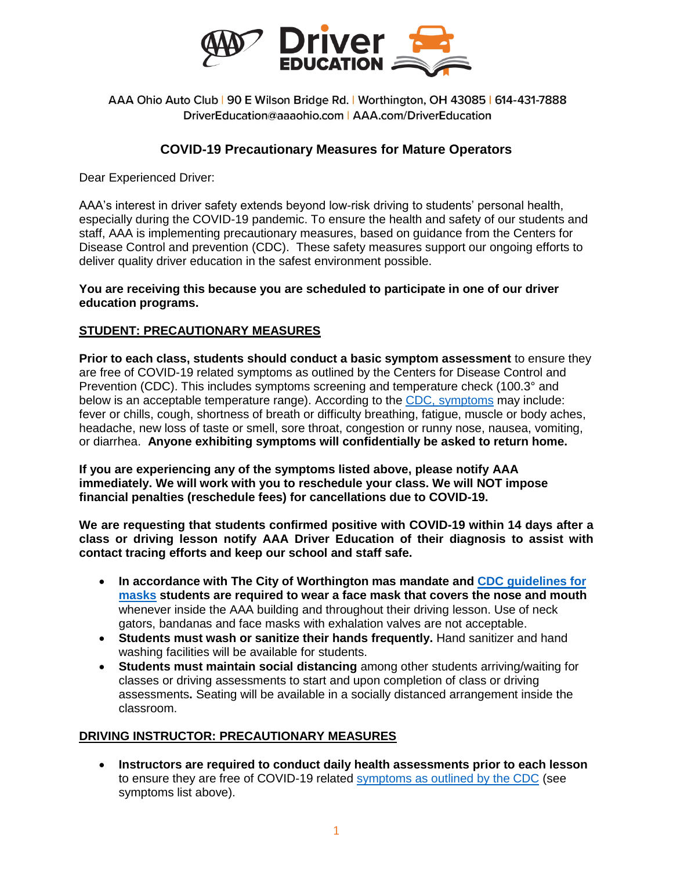

AAA Ohio Auto Club | 90 E Wilson Bridge Rd. | Worthington, OH 43085 | 614-431-7888 DriverEducation@aaaohio.com | AAA.com/DriverEducation

## **COVID-19 Precautionary Measures for Mature Operators**

Dear Experienced Driver:

AAA's interest in driver safety extends beyond low-risk driving to students' personal health, especially during the COVID-19 pandemic. To ensure the health and safety of our students and staff, AAA is implementing precautionary measures, based on guidance from the Centers for Disease Control and prevention (CDC). These safety measures support our ongoing efforts to deliver quality driver education in the safest environment possible.

## **You are receiving this because you are scheduled to participate in one of our driver education programs.**

## **STUDENT: PRECAUTIONARY MEASURES**

**Prior to each class, students should conduct a basic symptom assessment** to ensure they are free of COVID-19 related symptoms as outlined by the Centers for Disease Control and Prevention (CDC). This includes symptoms screening and temperature check (100.3° and below is an acceptable temperature range). According to the [CDC, symptoms](https://www.cdc.gov/coronavirus/2019-ncov/symptoms-testing/symptoms.html) may include: fever or chills, cough, shortness of breath or difficulty breathing, fatigue, muscle or body aches, headache, new loss of taste or smell, sore throat, congestion or runny nose, nausea, vomiting, or diarrhea. **Anyone exhibiting symptoms will confidentially be asked to return home.** 

**If you are experiencing any of the symptoms listed above, please notify AAA immediately. We will work with you to reschedule your class. We will NOT impose financial penalties (reschedule fees) for cancellations due to COVID-19.**

**We are requesting that students confirmed positive with COVID-19 within 14 days after a class or driving lesson notify AAA Driver Education of their diagnosis to assist with contact tracing efforts and keep our school and staff safe.**

- **In accordance with The City of Worthington mas mandate and [CDC guidelines for](https://www.cdc.gov/coronavirus/2019-ncov/prevent-getting-sick/about-face-coverings.html)  [masks](https://www.cdc.gov/coronavirus/2019-ncov/prevent-getting-sick/about-face-coverings.html) students are required to wear a face mask that covers the nose and mouth** whenever inside the AAA building and throughout their driving lesson. Use of neck gators, bandanas and face masks with exhalation valves are not acceptable.
- **Students must wash or sanitize their hands frequently.** Hand sanitizer and hand washing facilities will be available for students.
- **Students must maintain social distancing** among other students arriving/waiting for classes or driving assessments to start and upon completion of class or driving assessments**.** Seating will be available in a socially distanced arrangement inside the classroom.

## **DRIVING INSTRUCTOR: PRECAUTIONARY MEASURES**

 **Instructors are required to conduct daily health assessments prior to each lesson** to ensure they are free of COVID-19 related [symptoms as outlined by the CDC](https://www.cdc.gov/coronavirus/2019-ncov/symptoms-testing/symptoms.html) (see symptoms list above).